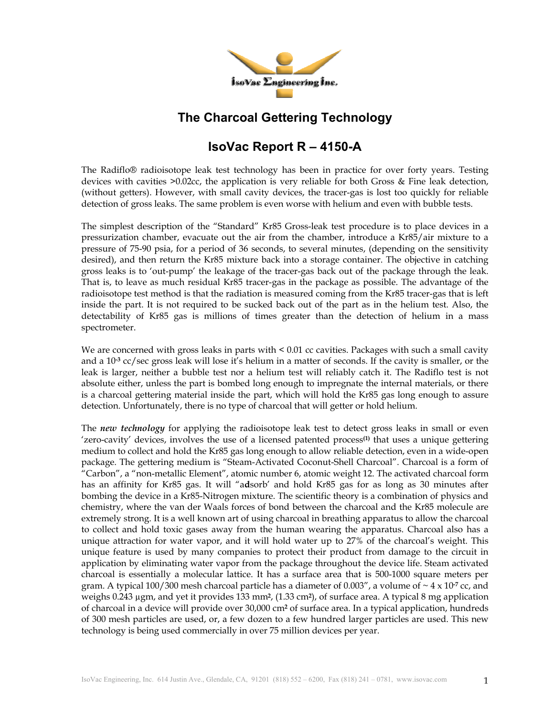

## **The Charcoal Gettering Technology**

## **IsoVac Report R – 4150-A**

The Radiflo® radioisotope leak test technology has been in practice for over forty years. Testing devices with cavities >0.02cc, the application is very reliable for both Gross & Fine leak detection, (without getters). However, with small cavity devices, the tracer-gas is lost too quickly for reliable detection of gross leaks. The same problem is even worse with helium and even with bubble tests.

The simplest description of the "Standard" Kr85 Gross-leak test procedure is to place devices in a pressurization chamber, evacuate out the air from the chamber, introduce a Kr85/air mixture to a pressure of 75-90 psia, for a period of 36 seconds, to several minutes, (depending on the sensitivity desired), and then return the Kr85 mixture back into a storage container. The objective in catching gross leaks is to 'out-pump' the leakage of the tracer-gas back out of the package through the leak. That is, to leave as much residual Kr85 tracer-gas in the package as possible. The advantage of the radioisotope test method is that the radiation is measured coming from the Kr85 tracer-gas that is left inside the part. It is not required to be sucked back out of the part as in the helium test. Also, the detectability of Kr85 gas is millions of times greater than the detection of helium in a mass spectrometer.

We are concerned with gross leaks in parts with < 0.01 cc cavities. Packages with such a small cavity and a 10**-3** cc/sec gross leak will lose it's helium in a matter of seconds. If the cavity is smaller, or the leak is larger, neither a bubble test nor a helium test will reliably catch it. The Radiflo test is not absolute either, unless the part is bombed long enough to impregnate the internal materials, or there is a charcoal gettering material inside the part, which will hold the Kr85 gas long enough to assure detection. Unfortunately, there is no type of charcoal that will getter or hold helium.

The *new technology* for applying the radioisotope leak test to detect gross leaks in small or even 'zero-cavity' devices, involves the use of a licensed patented process**(1)** that uses a unique gettering medium to collect and hold the Kr85 gas long enough to allow reliable detection, even in a wide-open package. The gettering medium is "Steam-Activated Coconut-Shell Charcoal". Charcoal is a form of "Carbon", a "non-metallic Element", atomic number 6, atomic weight 12. The activated charcoal form has an affinity for Kr85 gas. It will "a**d**sorb' and hold Kr85 gas for as long as 30 minutes after bombing the device in a Kr85-Nitrogen mixture. The scientific theory is a combination of physics and chemistry, where the van der Waals forces of bond between the charcoal and the Kr85 molecule are extremely strong. It is a well known art of using charcoal in breathing apparatus to allow the charcoal to collect and hold toxic gases away from the human wearing the apparatus. Charcoal also has a unique attraction for water vapor, and it will hold water up to 27% of the charcoal's weight. This unique feature is used by many companies to protect their product from damage to the circuit in application by eliminating water vapor from the package throughout the device life. Steam activated charcoal is essentially a molecular lattice. It has a surface area that is 500-1000 square meters per gram. A typical 100/300 mesh charcoal particle has a diameter of 0.003", a volume of ~ 4 x 10**-7** cc, and weighs 0.243 µgm, and yet it provides 133 mm**2**, (1.33 cm**2**), of surface area. A typical 8 mg application of charcoal in a device will provide over 30,000 cm**<sup>2</sup>** of surface area. In a typical application, hundreds of 300 mesh particles are used, or, a few dozen to a few hundred larger particles are used. This new technology is being used commercially in over 75 million devices per year.